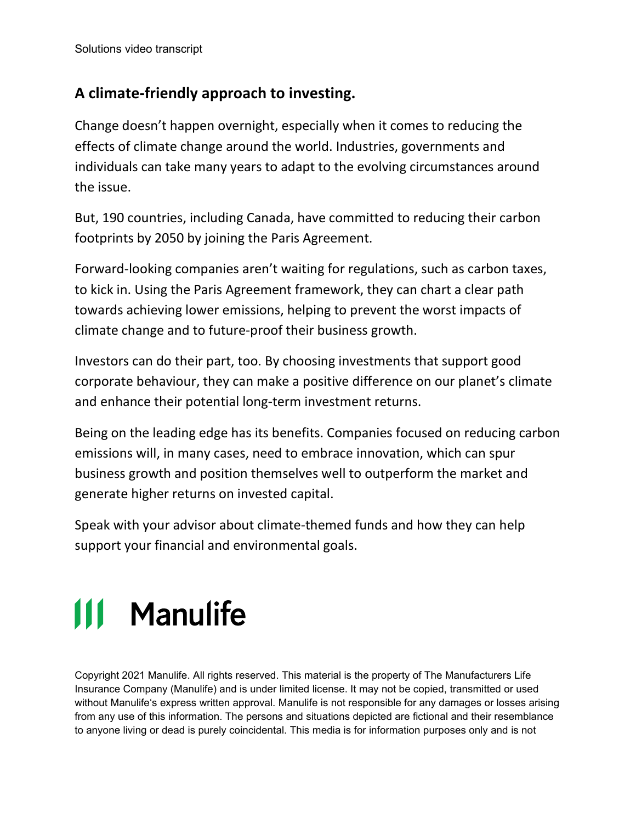## **A climate-friendly approach to investing.**

Change doesn't happen overnight, especially when it comes to reducing the effects of climate change around the world. Industries, governments and individuals can take many years to adapt to the evolving circumstances around the issue.

But, 190 countries, including Canada, have committed to reducing their carbon footprints by 2050 by joining the Paris Agreement.

Forward-looking companies aren't waiting for regulations, such as carbon taxes, to kick in. Using the Paris Agreement framework, they can chart a clear path towards achieving lower emissions, helping to prevent the worst impacts of climate change and to future-proof their business growth.

Investors can do their part, too. By choosing investments that support good corporate behaviour, they can make a positive difference on our planet's climate and enhance their potential long-term investment returns.

Being on the leading edge has its benefits. Companies focused on reducing carbon emissions will, in many cases, need to embrace innovation, which can spur business growth and position themselves well to outperform the market and generate higher returns on invested capital.

Speak with your advisor about climate-themed funds and how they can help support your financial and environmental goals.

## III Manulife

Copyright 2021 Manulife. All rights reserved. This material is the property of The Manufacturers Life Insurance Company (Manulife) and is under limited license. It may not be copied, transmitted or used without Manulife's express written approval. Manulife is not responsible for any damages or losses arising from any use of this information. The persons and situations depicted are fictional and their resemblance to anyone living or dead is purely coincidental. This media is for information purposes only and is not